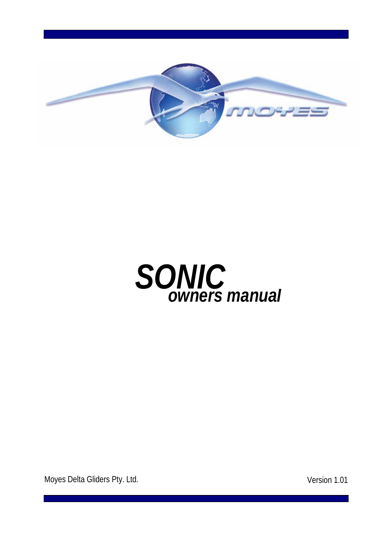



Moyes Delta Gliders Pty. Ltd. **Version 1.01**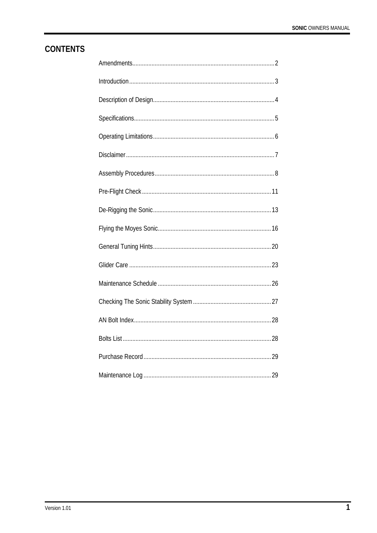# **CONTENTS**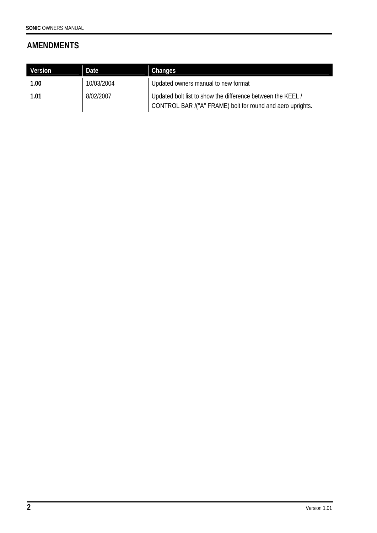# **AMENDMENTS**

| Version | Date       | Changes                                                                                                                  |
|---------|------------|--------------------------------------------------------------------------------------------------------------------------|
| 1.00    | 10/03/2004 | Updated owners manual to new format                                                                                      |
| 1.01    | 8/02/2007  | Updated bolt list to show the difference between the KEEL/<br>CONTROL BAR /("A" FRAME) bolt for round and aero uprights. |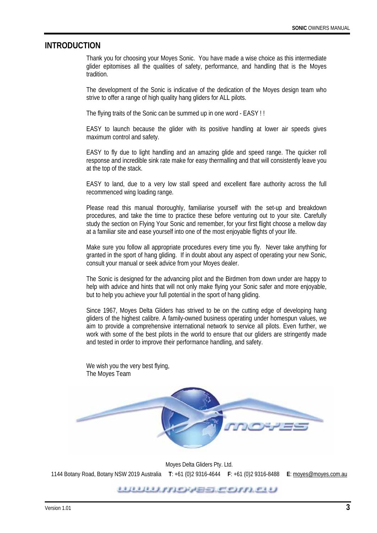#### **INTRODUCTION**

Thank you for choosing your Moyes Sonic. You have made a wise choice as this intermediate glider epitomises all the qualities of safety, performance, and handling that is the Moyes tradition.

The development of the Sonic is indicative of the dedication of the Moyes design team who strive to offer a range of high quality hang gliders for ALL pilots.

The flying traits of the Sonic can be summed up in one word - EASY ! !

EASY to launch because the glider with its positive handling at lower air speeds gives maximum control and safety.

EASY to fly due to light handling and an amazing glide and speed range. The quicker roll response and incredible sink rate make for easy thermalling and that will consistently leave you at the top of the stack.

EASY to land, due to a very low stall speed and excellent flare authority across the full recommenced wing loading range.

Please read this manual thoroughly, familiarise yourself with the set-up and breakdown procedures, and take the time to practice these before venturing out to your site. Carefully study the section on Flying Your Sonic and remember, for your first flight choose a mellow day at a familiar site and ease yourself into one of the most enjoyable flights of your life.

Make sure you follow all appropriate procedures every time you fly. Never take anything for granted in the sport of hang gliding. If in doubt about any aspect of operating your new Sonic, consult your manual or seek advice from your Moyes dealer.

The Sonic is designed for the advancing pilot and the Birdmen from down under are happy to help with advice and hints that will not only make flying your Sonic safer and more enjoyable, but to help you achieve your full potential in the sport of hang gliding.

Since 1967, Moyes Delta Gliders has strived to be on the cutting edge of developing hang gliders of the highest calibre. A family-owned business operating under homespun values, we aim to provide a comprehensive international network to service all pilots. Even further, we work with some of the best pilots in the world to ensure that our gliders are stringently made and tested in order to improve their performance handling, and safety.

We wish you the very best flying, The Moyes Team



Moyes Delta Gliders Pty. Ltd. 1144 Botany Road, Botany NSW 2019 Australia **T**: +61 (0)2 9316-4644 **F**: +61 (0)2 9316-8488 **E**: moyes@moyes.com.au

<u>UUULINASSEANDU</u>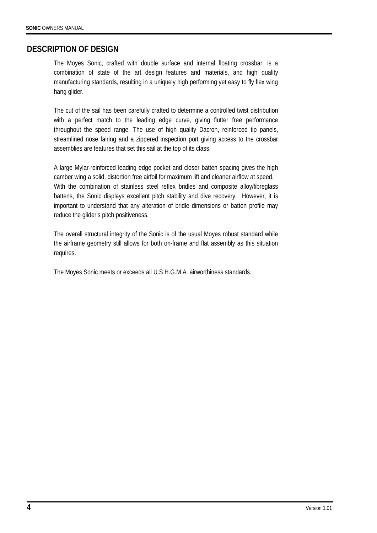### **DESCRIPTION OF DESIGN**

The Moyes Sonic, crafted with double surface and internal floating crossbar, is a combination of state of the art design features and materials, and high quality manufacturing standards, resulting in a uniquely high performing yet easy to fly flex wing hang glider.

The cut of the sail has been carefully crafted to determine a controlled twist distribution with a perfect match to the leading edge curve, giving flutter free performance throughout the speed range. The use of high quality Dacron, reinforced tip panels, streamlined nose fairing and a zippered inspection port giving access to the crossbar assemblies are features that set this sail at the top of its class.

A large Mylar-reinforced leading edge pocket and closer batten spacing gives the high camber wing a solid, distortion free airfoil for maximum lift and cleaner airflow at speed. With the combination of stainless steel reflex bridles and composite alloy/fibreglass battens, the Sonic displays excellent pitch stability and dive recovery. However, it is important to understand that any alteration of bridle dimensions or batten profile may reduce the glider's pitch positiveness.

The overall structural integrity of the Sonic is of the usual Moyes robust standard while the airframe geometry still allows for both on-frame and flat assembly as this situation requires.

The Moyes Sonic meets or exceeds all U.S.H.G.M.A. airworthiness standards.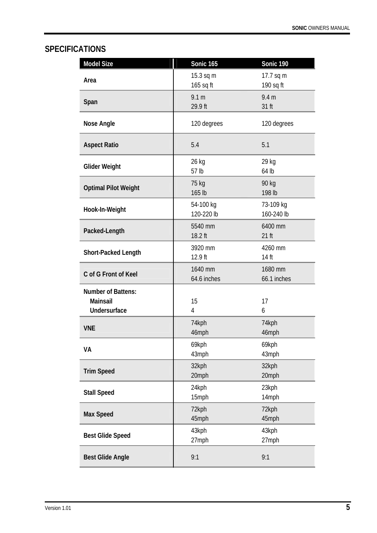# **SPECIFICATIONS**

| <b>Model Size</b>                                            | Sonic 165                   | Sonic 190                 |
|--------------------------------------------------------------|-----------------------------|---------------------------|
| Area                                                         | 15.3 sq m<br>165 sq ft      | 17.7 sq m<br>190 sq ft    |
| Span                                                         | 9.1 <sub>m</sub><br>29.9 ft | 9.4 <sub>m</sub><br>31 ft |
| <b>Nose Angle</b>                                            | 120 degrees                 | 120 degrees               |
| <b>Aspect Ratio</b>                                          | 5.4                         | 5.1                       |
| <b>Glider Weight</b>                                         | 26 kg<br>57 lb              | 29 kg<br>64 lb            |
| <b>Optimal Pilot Weight</b>                                  | 75 kg<br>165 lb             | 90 kg<br>198 lb           |
| Hook-In-Weight                                               | 54-100 kg<br>120-220 lb     | 73-109 kg<br>160-240 lb   |
| Packed-Length                                                | 5540 mm<br>18.2 ft          | 6400 mm<br>$21$ ft        |
| <b>Short-Packed Length</b>                                   | 3920 mm<br>12.9 ft          | 4260 mm<br>14 ft          |
| C of G Front of Keel                                         | 1640 mm<br>64.6 inches      | 1680 mm<br>66.1 inches    |
| <b>Number of Battens:</b><br><b>Mainsail</b><br>Undersurface | 15<br>4                     | 17<br>6                   |
| <b>VNE</b>                                                   | 74kph<br>46mph              | 74kph<br>46mph            |
| VA                                                           | 69kph<br>43mph              | 69kph<br>43mph            |
| <b>Trim Speed</b>                                            | 32kph<br>20mph              | 32kph<br>20mph            |
| <b>Stall Speed</b>                                           | 24kph<br>15mph              | 23kph<br>14mph            |
| <b>Max Speed</b>                                             | 72kph<br>45mph              | 72kph<br>45mph            |
| <b>Best Glide Speed</b>                                      | 43kph<br>27mph              | 43kph<br>27mph            |
| <b>Best Glide Angle</b>                                      | 9:1                         | 9:1                       |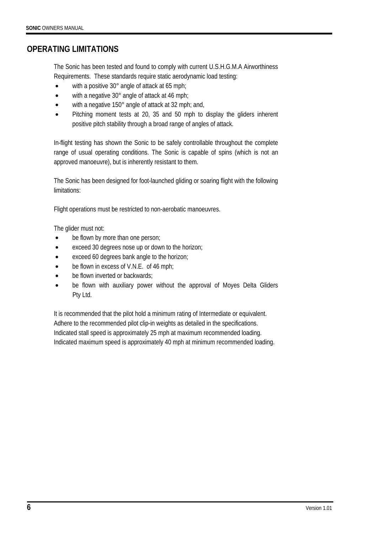## **OPERATING LIMITATIONS**

The Sonic has been tested and found to comply with current U.S.H.G.M.A Airworthiness Requirements. These standards require static aerodynamic load testing:

- with a positive 30° angle of attack at 65 mph;
- with a negative 30° angle of attack at 46 mph;
- with a negative 150° angle of attack at 32 mph; and,
- Pitching moment tests at 20, 35 and 50 mph to display the gliders inherent positive pitch stability through a broad range of angles of attack.

In-flight testing has shown the Sonic to be safely controllable throughout the complete range of usual operating conditions. The Sonic is capable of spins (which is not an approved manoeuvre), but is inherently resistant to them.

The Sonic has been designed for foot-launched gliding or soaring flight with the following limitations:

Flight operations must be restricted to non-aerobatic manoeuvres.

The glider must not:

- be flown by more than one person;
- exceed 30 degrees nose up or down to the horizon;
- exceed 60 degrees bank angle to the horizon;
- be flown in excess of V.N.E. of 46 mph;
- be flown inverted or backwards;
- be flown with auxiliary power without the approval of Moyes Delta Gliders Pty Ltd.

It is recommended that the pilot hold a minimum rating of Intermediate or equivalent. Adhere to the recommended pilot clip-in weights as detailed in the specifications. Indicated stall speed is approximately 25 mph at maximum recommended loading. Indicated maximum speed is approximately 40 mph at minimum recommended loading.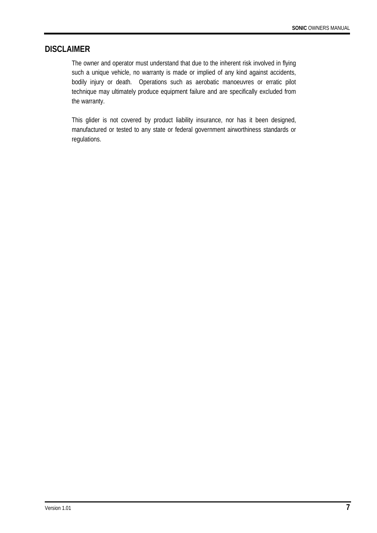#### **DISCLAIMER**

The owner and operator must understand that due to the inherent risk involved in flying such a unique vehicle, no warranty is made or implied of any kind against accidents, bodily injury or death. Operations such as aerobatic manoeuvres or erratic pilot technique may ultimately produce equipment failure and are specifically excluded from the warranty.

This glider is not covered by product liability insurance, nor has it been designed, manufactured or tested to any state or federal government airworthiness standards or regulations.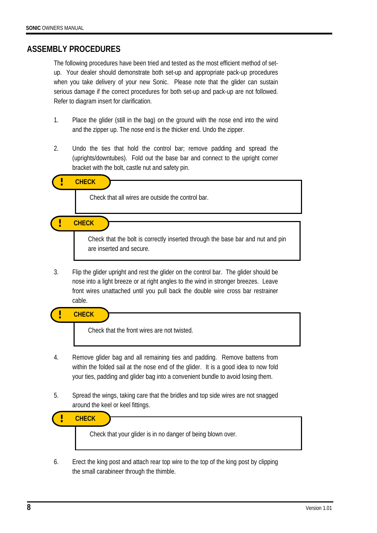#### **ASSEMBLY PROCEDURES**

The following procedures have been tried and tested as the most efficient method of setup. Your dealer should demonstrate both set-up and appropriate pack-up procedures when you take delivery of your new Sonic. Please note that the glider can sustain serious damage if the correct procedures for both set-up and pack-up are not followed. Refer to diagram insert for clarification.

- 1. Place the glider (still in the bag) on the ground with the nose end into the wind and the zipper up. The nose end is the thicker end. Undo the zipper.
- 2. Undo the ties that hold the control bar; remove padding and spread the (uprights/downtubes). Fold out the base bar and connect to the upright corner bracket with the bolt, castle nut and safety pin.

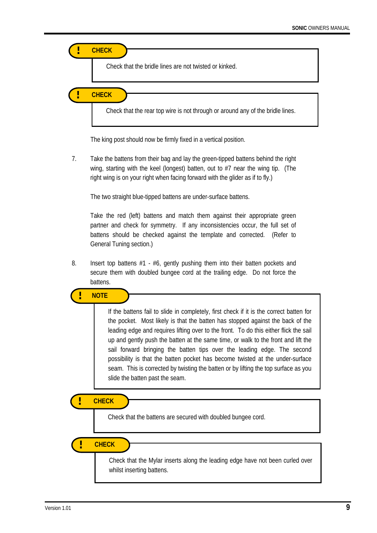

The king post should now be firmly fixed in a vertical position.

7. Take the battens from their bag and lay the green-tipped battens behind the right wing, starting with the keel (longest) batten, out to #7 near the wing tip. (The right wing is on your right when facing forward with the glider as if to fly.)

The two straight blue-tipped battens are under-surface battens.

Take the red (left) battens and match them against their appropriate green partner and check for symmetry. If any inconsistencies occur, the full set of battens should be checked against the template and corrected. (Refer to General Tuning section.)

8. Insert top battens  $#1 - #6$ , gently pushing them into their batten pockets and secure them with doubled bungee cord at the trailing edge. Do not force the battens.

**! NOTE** 

If the battens fail to slide in completely, first check if it is the correct batten for the pocket. Most likely is that the batten has stopped against the back of the leading edge and requires lifting over to the front. To do this either flick the sail up and gently push the batten at the same time, or walk to the front and lift the sail forward bringing the batten tips over the leading edge. The second possibility is that the batten pocket has become twisted at the under-surface seam. This is corrected by twisting the batten or by lifting the top surface as you slide the batten past the seam.

**! CHECK**

í

Check that the battens are secured with doubled bungee cord.

**! CHECK**

Check that the Mylar inserts along the leading edge have not been curled over whilst inserting battens.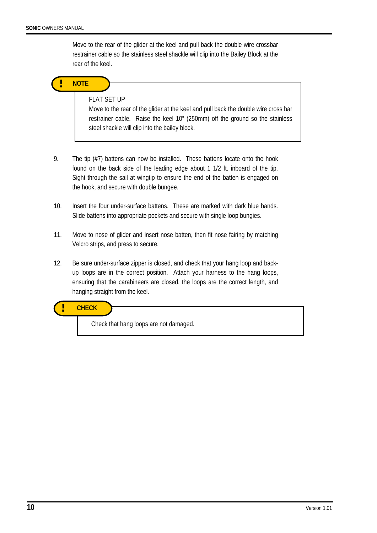Move to the rear of the glider at the keel and pull back the double wire crossbar restrainer cable so the stainless steel shackle will clip into the Bailey Block at the rear of the keel.



#### FLAT SET UP

Move to the rear of the glider at the keel and pull back the double wire cross bar restrainer cable. Raise the keel 10" (250mm) off the ground so the stainless steel shackle will clip into the bailey block.

- 9. The tip (#7) battens can now be installed. These battens locate onto the hook found on the back side of the leading edge about 1 1/2 ft. inboard of the tip. Sight through the sail at wingtip to ensure the end of the batten is engaged on the hook, and secure with double bungee.
- 10. Insert the four under-surface battens. These are marked with dark blue bands. Slide battens into appropriate pockets and secure with single loop bungies.
- 11. Move to nose of glider and insert nose batten, then fit nose fairing by matching Velcro strips, and press to secure.
- 12. Be sure under-surface zipper is closed, and check that your hang loop and backup loops are in the correct position. Attach your harness to the hang loops, ensuring that the carabineers are closed, the loops are the correct length, and hanging straight from the keel.

**! CHECK**

Check that hang loops are not damaged.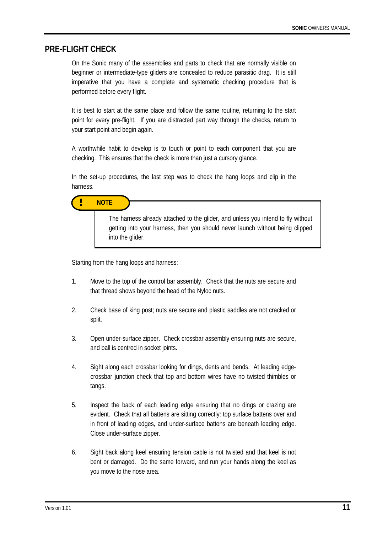#### **PRE-FLIGHT CHECK**

On the Sonic many of the assemblies and parts to check that are normally visible on beginner or intermediate-type gliders are concealed to reduce parasitic drag. It is still imperative that you have a complete and systematic checking procedure that is performed before every flight.

It is best to start at the same place and follow the same routine, returning to the start point for every pre-flight. If you are distracted part way through the checks, return to your start point and begin again.

A worthwhile habit to develop is to touch or point to each component that you are checking. This ensures that the check is more than just a cursory glance.

In the set-up procedures, the last step was to check the hang loops and clip in the harness.



Starting from the hang loops and harness:

into the glider.

- 1. Move to the top of the control bar assembly. Check that the nuts are secure and that thread shows beyond the head of the Nyloc nuts.
- 2. Check base of king post; nuts are secure and plastic saddles are not cracked or split.
- 3. Open under-surface zipper. Check crossbar assembly ensuring nuts are secure, and ball is centred in socket joints.
- 4. Sight along each crossbar looking for dings, dents and bends. At leading edge crossbar junction check that top and bottom wires have no twisted thimbles or tangs.
- 5. Inspect the back of each leading edge ensuring that no dings or crazing are evident. Check that all battens are sitting correctly: top surface battens over and in front of leading edges, and under-surface battens are beneath leading edge. Close under-surface zipper.
- 6. Sight back along keel ensuring tension cable is not twisted and that keel is not bent or damaged. Do the same forward, and run your hands along the keel as you move to the nose area.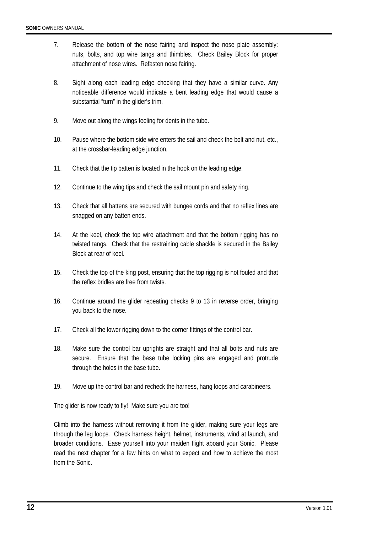- 7. Release the bottom of the nose fairing and inspect the nose plate assembly: nuts, bolts, and top wire tangs and thimbles. Check Bailey Block for proper attachment of nose wires. Refasten nose fairing.
- 8. Sight along each leading edge checking that they have a similar curve. Any noticeable difference would indicate a bent leading edge that would cause a substantial "turn" in the glider's trim.
- 9. Move out along the wings feeling for dents in the tube.
- 10. Pause where the bottom side wire enters the sail and check the bolt and nut, etc., at the crossbar-leading edge junction.
- 11. Check that the tip batten is located in the hook on the leading edge.
- 12. Continue to the wing tips and check the sail mount pin and safety ring.
- 13. Check that all battens are secured with bungee cords and that no reflex lines are snagged on any batten ends.
- 14. At the keel, check the top wire attachment and that the bottom rigging has no twisted tangs. Check that the restraining cable shackle is secured in the Bailey Block at rear of keel.
- 15. Check the top of the king post, ensuring that the top rigging is not fouled and that the reflex bridles are free from twists.
- 16. Continue around the glider repeating checks 9 to 13 in reverse order, bringing you back to the nose.
- 17. Check all the lower rigging down to the corner fittings of the control bar.
- 18. Make sure the control bar uprights are straight and that all bolts and nuts are secure. Ensure that the base tube locking pins are engaged and protrude through the holes in the base tube.
- 19. Move up the control bar and recheck the harness, hang loops and carabineers.

The glider is now ready to fly! Make sure you are too!

Climb into the harness without removing it from the glider, making sure your legs are through the leg loops. Check harness height, helmet, instruments, wind at launch, and broader conditions. Ease yourself into your maiden flight aboard your Sonic. Please read the next chapter for a few hints on what to expect and how to achieve the most from the Sonic.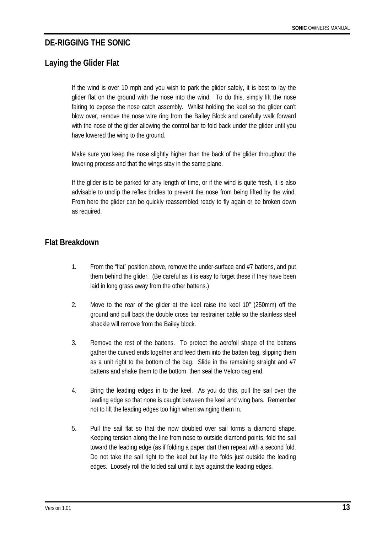## **DE-RIGGING THE SONIC**

# **Laying the Glider Flat**

If the wind is over 10 mph and you wish to park the glider safely, it is best to lay the glider flat on the ground with the nose into the wind. To do this, simply lift the nose fairing to expose the nose catch assembly. Whilst holding the keel so the glider can't blow over, remove the nose wire ring from the Bailey Block and carefully walk forward with the nose of the glider allowing the control bar to fold back under the glider until you have lowered the wing to the ground.

Make sure you keep the nose slightly higher than the back of the glider throughout the lowering process and that the wings stay in the same plane.

If the glider is to be parked for any length of time, or if the wind is quite fresh, it is also advisable to unclip the reflex bridles to prevent the nose from being lifted by the wind. From here the glider can be quickly reassembled ready to fly again or be broken down as required.

## **Flat Breakdown**

- 1. From the "flat" position above, remove the under-surface and #7 battens, and put them behind the glider. (Be careful as it is easy to forget these if they have been laid in long grass away from the other battens.)
- 2. Move to the rear of the glider at the keel raise the keel 10" (250mm) off the ground and pull back the double cross bar restrainer cable so the stainless steel shackle will remove from the Bailey block.
- 3. Remove the rest of the battens. To protect the aerofoil shape of the battens gather the curved ends together and feed them into the batten bag, slipping them as a unit right to the bottom of the bag. Slide in the remaining straight and #7 battens and shake them to the bottom, then seal the Velcro bag end.
- 4. Bring the leading edges in to the keel. As you do this, pull the sail over the leading edge so that none is caught between the keel and wing bars. Remember not to lift the leading edges too high when swinging them in.
- 5. Pull the sail flat so that the now doubled over sail forms a diamond shape. Keeping tension along the line from nose to outside diamond points, fold the sail toward the leading edge (as if folding a paper dart then repeat with a second fold. Do not take the sail right to the keel but lay the folds just outside the leading edges. Loosely roll the folded sail until it lays against the leading edges.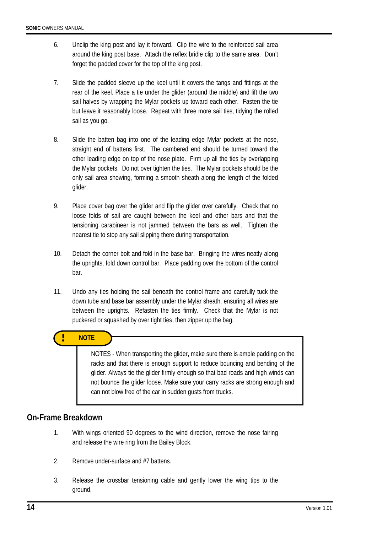- 6. Unclip the king post and lay it forward. Clip the wire to the reinforced sail area around the king post base. Attach the reflex bridle clip to the same area. Don't forget the padded cover for the top of the king post.
- 7. Slide the padded sleeve up the keel until it covers the tangs and fittings at the rear of the keel. Place a tie under the glider (around the middle) and lift the two sail halves by wrapping the Mylar pockets up toward each other. Fasten the tie but leave it reasonably loose. Repeat with three more sail ties, tidying the rolled sail as you go.
- 8. Slide the batten bag into one of the leading edge Mylar pockets at the nose, straight end of battens first. The cambered end should be turned toward the other leading edge on top of the nose plate. Firm up all the ties by overlapping the Mylar pockets. Do not over tighten the ties. The Mylar pockets should be the only sail area showing, forming a smooth sheath along the length of the folded glider.
- 9. Place cover bag over the glider and flip the glider over carefully. Check that no loose folds of sail are caught between the keel and other bars and that the tensioning carabineer is not jammed between the bars as well. Tighten the nearest tie to stop any sail slipping there during transportation.
- 10. Detach the corner bolt and fold in the base bar. Bringing the wires neatly along the uprights, fold down control bar. Place padding over the bottom of the control bar.
- 11. Undo any ties holding the sail beneath the control frame and carefully tuck the down tube and base bar assembly under the Mylar sheath, ensuring all wires are between the uprights. Refasten the ties firmly. Check that the Mylar is not puckered or squashed by over tight ties, then zipper up the bag.

### **! NOTE**

NOTES - When transporting the glider, make sure there is ample padding on the racks and that there is enough support to reduce bouncing and bending of the glider. Always tie the glider firmly enough so that bad roads and high winds can not bounce the glider loose. Make sure your carry racks are strong enough and can not blow free of the car in sudden gusts from trucks.

### **On-Frame Breakdown**

- 1. With wings oriented 90 degrees to the wind direction, remove the nose fairing and release the wire ring from the Bailey Block.
- 2. Remove under-surface and #7 battens.
- 3. Release the crossbar tensioning cable and gently lower the wing tips to the ground.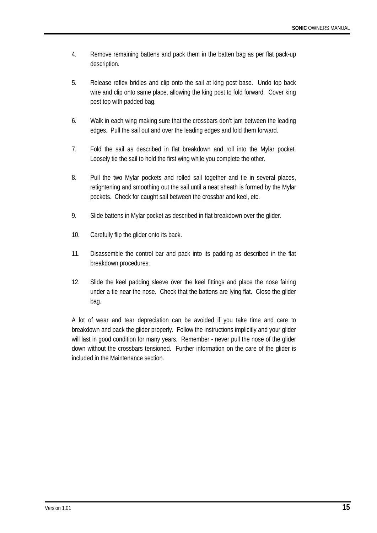- 4. Remove remaining battens and pack them in the batten bag as per flat pack-up description.
- 5. Release reflex bridles and clip onto the sail at king post base. Undo top back wire and clip onto same place, allowing the king post to fold forward. Cover king post top with padded bag.
- 6. Walk in each wing making sure that the crossbars don't jam between the leading edges. Pull the sail out and over the leading edges and fold them forward.
- 7. Fold the sail as described in flat breakdown and roll into the Mylar pocket. Loosely tie the sail to hold the first wing while you complete the other.
- 8. Pull the two Mylar pockets and rolled sail together and tie in several places, retightening and smoothing out the sail until a neat sheath is formed by the Mylar pockets. Check for caught sail between the crossbar and keel, etc.
- 9. Slide battens in Mylar pocket as described in flat breakdown over the glider.
- 10. Carefully flip the glider onto its back.
- 11. Disassemble the control bar and pack into its padding as described in the flat breakdown procedures.
- 12. Slide the keel padding sleeve over the keel fittings and place the nose fairing under a tie near the nose. Check that the battens are lying flat. Close the glider bag.

A lot of wear and tear depreciation can be avoided if you take time and care to breakdown and pack the glider properly. Follow the instructions implicitly and your glider will last in good condition for many years. Remember - never pull the nose of the glider down without the crossbars tensioned. Further information on the care of the glider is included in the Maintenance section.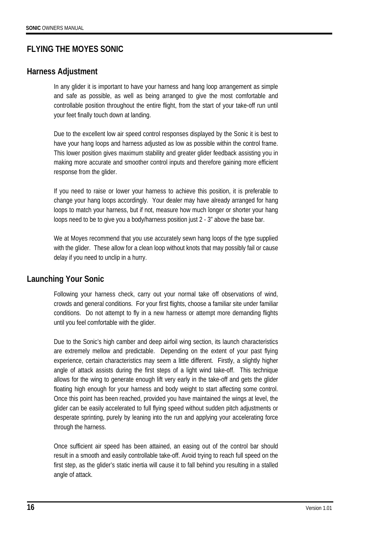# **FLYING THE MOYES SONIC**

### **Harness Adjustment**

In any glider it is important to have your harness and hang loop arrangement as simple and safe as possible, as well as being arranged to give the most comfortable and controllable position throughout the entire flight, from the start of your take-off run until your feet finally touch down at landing.

Due to the excellent low air speed control responses displayed by the Sonic it is best to have your hang loops and harness adjusted as low as possible within the control frame. This lower position gives maximum stability and greater glider feedback assisting you in making more accurate and smoother control inputs and therefore gaining more efficient response from the glider.

If you need to raise or lower your harness to achieve this position, it is preferable to change your hang loops accordingly. Your dealer may have already arranged for hang loops to match your harness, but if not, measure how much longer or shorter your hang loops need to be to give you a body/harness position just 2 - 3" above the base bar.

We at Moyes recommend that you use accurately sewn hang loops of the type supplied with the glider. These allow for a clean loop without knots that may possibly fail or cause delay if you need to unclip in a hurry.

## **Launching Your Sonic**

Following your harness check, carry out your normal take off observations of wind, crowds and general conditions. For your first flights, choose a familiar site under familiar conditions. Do not attempt to fly in a new harness or attempt more demanding flights until you feel comfortable with the glider.

Due to the Sonic's high camber and deep airfoil wing section, its launch characteristics are extremely mellow and predictable. Depending on the extent of your past flying experience, certain characteristics may seem a little different. Firstly, a slightly higher angle of attack assists during the first steps of a light wind take-off. This technique allows for the wing to generate enough lift very early in the take-off and gets the glider floating high enough for your harness and body weight to start affecting some control. Once this point has been reached, provided you have maintained the wings at level, the glider can be easily accelerated to full flying speed without sudden pitch adjustments or desperate sprinting, purely by leaning into the run and applying your accelerating force through the harness.

Once sufficient air speed has been attained, an easing out of the control bar should result in a smooth and easily controllable take-off. Avoid trying to reach full speed on the first step, as the glider's static inertia will cause it to fall behind you resulting in a stalled angle of attack.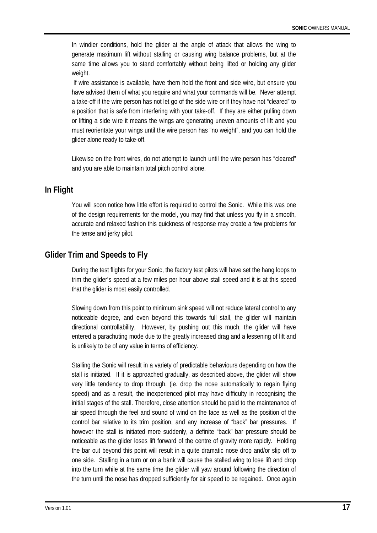In windier conditions, hold the glider at the angle of attack that allows the wing to generate maximum lift without stalling or causing wing balance problems, but at the same time allows you to stand comfortably without being lifted or holding any glider weight.

 If wire assistance is available, have them hold the front and side wire, but ensure you have advised them of what you require and what your commands will be. Never attempt a take-off if the wire person has not let go of the side wire or if they have not "cleared" to a position that is safe from interfering with your take-off. If they are either pulling down or lifting a side wire it means the wings are generating uneven amounts of lift and you must reorientate your wings until the wire person has "no weight", and you can hold the glider alone ready to take-off.

Likewise on the front wires, do not attempt to launch until the wire person has "cleared" and you are able to maintain total pitch control alone.

### **In Flight**

You will soon notice how little effort is required to control the Sonic. While this was one of the design requirements for the model, you may find that unless you fly in a smooth, accurate and relaxed fashion this quickness of response may create a few problems for the tense and jerky pilot.

# **Glider Trim and Speeds to Fly**

During the test flights for your Sonic, the factory test pilots will have set the hang loops to trim the glider's speed at a few miles per hour above stall speed and it is at this speed that the glider is most easily controlled.

Slowing down from this point to minimum sink speed will not reduce lateral control to any noticeable degree, and even beyond this towards full stall, the glider will maintain directional controllability. However, by pushing out this much, the glider will have entered a parachuting mode due to the greatly increased drag and a lessening of lift and is unlikely to be of any value in terms of efficiency.

Stalling the Sonic will result in a variety of predictable behaviours depending on how the stall is initiated. If it is approached gradually, as described above, the glider will show very little tendency to drop through, (ie. drop the nose automatically to regain flying speed) and as a result, the inexperienced pilot may have difficulty in recognising the initial stages of the stall. Therefore, close attention should be paid to the maintenance of air speed through the feel and sound of wind on the face as well as the position of the control bar relative to its trim position, and any increase of "back" bar pressures. If however the stall is initiated more suddenly, a definite "back" bar pressure should be noticeable as the glider loses lift forward of the centre of gravity more rapidly. Holding the bar out beyond this point will result in a quite dramatic nose drop and/or slip off to one side. Stalling in a turn or on a bank will cause the stalled wing to lose lift and drop into the turn while at the same time the glider will yaw around following the direction of the turn until the nose has dropped sufficiently for air speed to be regained. Once again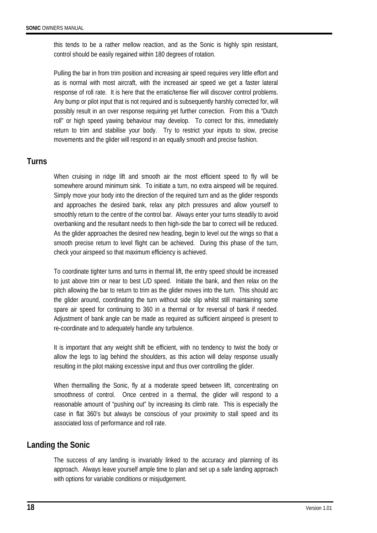this tends to be a rather mellow reaction, and as the Sonic is highly spin resistant, control should be easily regained within 180 degrees of rotation.

Pulling the bar in from trim position and increasing air speed requires very little effort and as is normal with most aircraft, with the increased air speed we get a faster lateral response of roll rate. It is here that the erratic/tense flier will discover control problems. Any bump or pilot input that is not required and is subsequently harshly corrected for, will possibly result in an over response requiring yet further correction. From this a "Dutch roll" or high speed yawing behaviour may develop. To correct for this, immediately return to trim and stabilise your body. Try to restrict your inputs to slow, precise movements and the glider will respond in an equally smooth and precise fashion.

### **Turns**

When cruising in ridge lift and smooth air the most efficient speed to fly will be somewhere around minimum sink. To initiate a turn, no extra airspeed will be required. Simply move your body into the direction of the required turn and as the glider responds and approaches the desired bank, relax any pitch pressures and allow yourself to smoothly return to the centre of the control bar. Always enter your turns steadily to avoid overbanking and the resultant needs to then high-side the bar to correct will be reduced. As the glider approaches the desired new heading, begin to level out the wings so that a smooth precise return to level flight can be achieved. During this phase of the turn, check your airspeed so that maximum efficiency is achieved.

To coordinate tighter turns and turns in thermal lift, the entry speed should be increased to just above trim or near to best L/D speed. Initiate the bank, and then relax on the pitch allowing the bar to return to trim as the glider moves into the turn. This should arc the glider around, coordinating the turn without side slip whilst still maintaining some spare air speed for continuing to 360 in a thermal or for reversal of bank if needed. Adjustment of bank angle can be made as required as sufficient airspeed is present to re-coordinate and to adequately handle any turbulence.

It is important that any weight shift be efficient, with no tendency to twist the body or allow the legs to lag behind the shoulders, as this action will delay response usually resulting in the pilot making excessive input and thus over controlling the glider.

When thermalling the Sonic, fly at a moderate speed between lift, concentrating on smoothness of control. Once centred in a thermal, the glider will respond to a reasonable amount of "pushing out" by increasing its climb rate. This is especially the case in flat 360's but always be conscious of your proximity to stall speed and its associated loss of performance and roll rate.

### **Landing the Sonic**

The success of any landing is invariably linked to the accuracy and planning of its approach. Always leave yourself ample time to plan and set up a safe landing approach with options for variable conditions or misjudgement.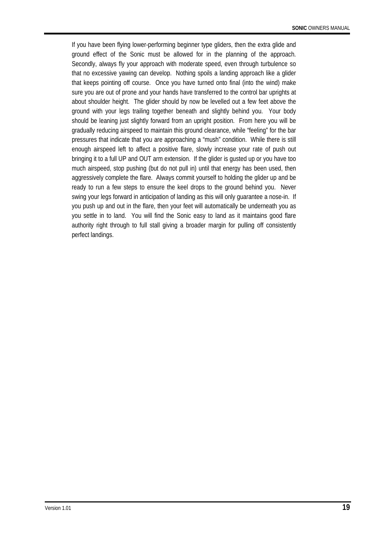If you have been flying lower-performing beginner type gliders, then the extra glide and ground effect of the Sonic must be allowed for in the planning of the approach. Secondly, always fly your approach with moderate speed, even through turbulence so that no excessive yawing can develop. Nothing spoils a landing approach like a glider that keeps pointing off course. Once you have turned onto final (into the wind) make sure you are out of prone and your hands have transferred to the control bar uprights at about shoulder height. The glider should by now be levelled out a few feet above the ground with your legs trailing together beneath and slightly behind you. Your body should be leaning just slightly forward from an upright position. From here you will be gradually reducing airspeed to maintain this ground clearance, while "feeling" for the bar pressures that indicate that you are approaching a "mush" condition. While there is still enough airspeed left to affect a positive flare, slowly increase your rate of push out bringing it to a full UP and OUT arm extension. If the glider is gusted up or you have too much airspeed, stop pushing (but do not pull in) until that energy has been used, then aggressively complete the flare. Always commit yourself to holding the glider up and be ready to run a few steps to ensure the keel drops to the ground behind you. Never swing your legs forward in anticipation of landing as this will only guarantee a nose-in. If you push up and out in the flare, then your feet will automatically be underneath you as you settle in to land. You will find the Sonic easy to land as it maintains good flare authority right through to full stall giving a broader margin for pulling off consistently perfect landings.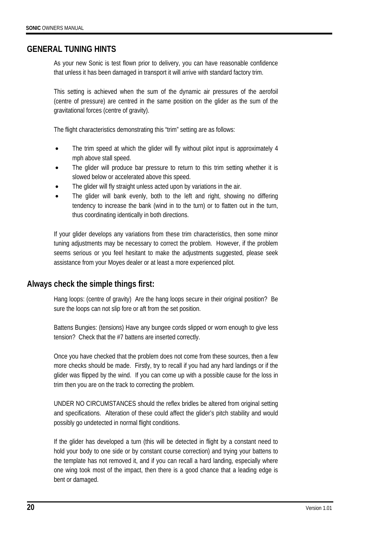### **GENERAL TUNING HINTS**

As your new Sonic is test flown prior to delivery, you can have reasonable confidence that unless it has been damaged in transport it will arrive with standard factory trim.

This setting is achieved when the sum of the dynamic air pressures of the aerofoil (centre of pressure) are centred in the same position on the glider as the sum of the gravitational forces (centre of gravity).

The flight characteristics demonstrating this "trim" setting are as follows:

- The trim speed at which the glider will fly without pilot input is approximately 4 mph above stall speed.
- The glider will produce bar pressure to return to this trim setting whether it is slowed below or accelerated above this speed.
- The glider will fly straight unless acted upon by variations in the air.
- The glider will bank evenly, both to the left and right, showing no differing tendency to increase the bank (wind in to the turn) or to flatten out in the turn, thus coordinating identically in both directions.

If your glider develops any variations from these trim characteristics, then some minor tuning adjustments may be necessary to correct the problem. However, if the problem seems serious or you feel hesitant to make the adjustments suggested, please seek assistance from your Moyes dealer or at least a more experienced pilot.

### **Always check the simple things first:**

Hang loops: (centre of gravity) Are the hang loops secure in their original position? Be sure the loops can not slip fore or aft from the set position.

Battens Bungies: (tensions) Have any bungee cords slipped or worn enough to give less tension? Check that the #7 battens are inserted correctly.

Once you have checked that the problem does not come from these sources, then a few more checks should be made. Firstly, try to recall if you had any hard landings or if the glider was flipped by the wind. If you can come up with a possible cause for the loss in trim then you are on the track to correcting the problem.

UNDER NO CIRCUMSTANCES should the reflex bridles be altered from original setting and specifications. Alteration of these could affect the glider's pitch stability and would possibly go undetected in normal flight conditions.

If the glider has developed a turn (this will be detected in flight by a constant need to hold your body to one side or by constant course correction) and trying your battens to the template has not removed it, and if you can recall a hard landing, especially where one wing took most of the impact, then there is a good chance that a leading edge is bent or damaged.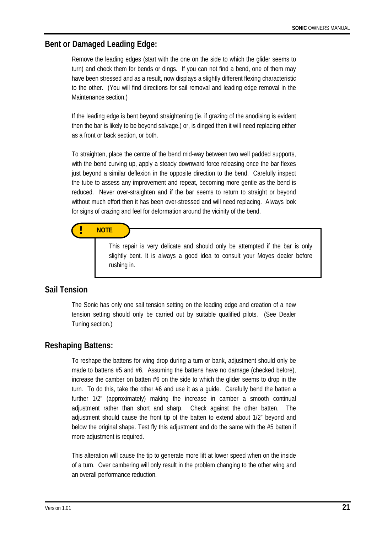### **Bent or Damaged Leading Edge:**

Remove the leading edges (start with the one on the side to which the glider seems to turn) and check them for bends or dings. If you can not find a bend, one of them may have been stressed and as a result, now displays a slightly different flexing characteristic to the other. (You will find directions for sail removal and leading edge removal in the Maintenance section.)

If the leading edge is bent beyond straightening (ie. if grazing of the anodising is evident then the bar is likely to be beyond salvage.) or, is dinged then it will need replacing either as a front or back section, or both.

To straighten, place the centre of the bend mid-way between two well padded supports, with the bend curving up, apply a steady downward force releasing once the bar flexes just beyond a similar deflexion in the opposite direction to the bend. Carefully inspect the tube to assess any improvement and repeat, becoming more gentle as the bend is reduced. Never over-straighten and if the bar seems to return to straight or beyond without much effort then it has been over-stressed and will need replacing. Always look for signs of crazing and feel for deformation around the vicinity of the bend.

# **! NOTE**

This repair is very delicate and should only be attempted if the bar is only slightly bent. It is always a good idea to consult your Moyes dealer before rushing in.

#### **Sail Tension**

The Sonic has only one sail tension setting on the leading edge and creation of a new tension setting should only be carried out by suitable qualified pilots. (See Dealer Tuning section.)

#### **Reshaping Battens:**

To reshape the battens for wing drop during a turn or bank, adjustment should only be made to battens #5 and #6. Assuming the battens have no damage (checked before), increase the camber on batten #6 on the side to which the glider seems to drop in the turn. To do this, take the other #6 and use it as a guide. Carefully bend the batten a further 1/2" (approximately) making the increase in camber a smooth continual adjustment rather than short and sharp. Check against the other batten. adjustment should cause the front tip of the batten to extend about 1/2" beyond and below the original shape. Test fly this adjustment and do the same with the #5 batten if more adjustment is required.

This alteration will cause the tip to generate more lift at lower speed when on the inside of a turn. Over cambering will only result in the problem changing to the other wing and an overall performance reduction.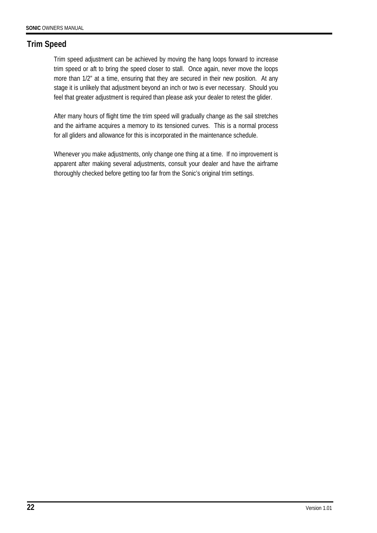# **Trim Speed**

Trim speed adjustment can be achieved by moving the hang loops forward to increase trim speed or aft to bring the speed closer to stall. Once again, never move the loops more than 1/2" at a time, ensuring that they are secured in their new position. At any stage it is unlikely that adjustment beyond an inch or two is ever necessary. Should you feel that greater adjustment is required than please ask your dealer to retest the glider.

After many hours of flight time the trim speed will gradually change as the sail stretches and the airframe acquires a memory to its tensioned curves. This is a normal process for all gliders and allowance for this is incorporated in the maintenance schedule.

Whenever you make adjustments, only change one thing at a time. If no improvement is apparent after making several adjustments, consult your dealer and have the airframe thoroughly checked before getting too far from the Sonic's original trim settings.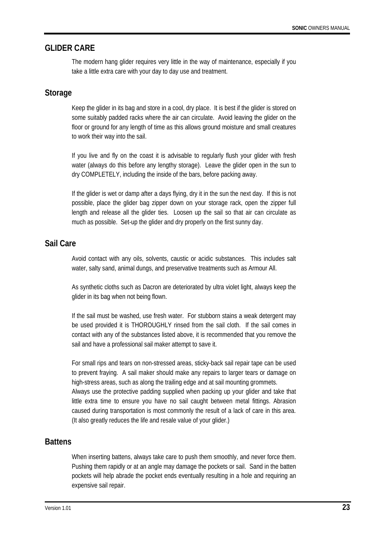### **GLIDER CARE**

The modern hang glider requires very little in the way of maintenance, especially if you take a little extra care with your day to day use and treatment.

#### **Storage**

Keep the glider in its bag and store in a cool, dry place. It is best if the glider is stored on some suitably padded racks where the air can circulate. Avoid leaving the glider on the floor or ground for any length of time as this allows ground moisture and small creatures to work their way into the sail.

If you live and fly on the coast it is advisable to regularly flush your glider with fresh water (always do this before any lengthy storage). Leave the glider open in the sun to dry COMPLETELY, including the inside of the bars, before packing away.

If the glider is wet or damp after a days flying, dry it in the sun the next day. If this is not possible, place the glider bag zipper down on your storage rack, open the zipper full length and release all the glider ties. Loosen up the sail so that air can circulate as much as possible. Set-up the glider and dry properly on the first sunny day.

### **Sail Care**

Avoid contact with any oils, solvents, caustic or acidic substances. This includes salt water, salty sand, animal dungs, and preservative treatments such as Armour All.

As synthetic cloths such as Dacron are deteriorated by ultra violet light, always keep the glider in its bag when not being flown.

If the sail must be washed, use fresh water. For stubborn stains a weak detergent may be used provided it is THOROUGHLY rinsed from the sail cloth. If the sail comes in contact with any of the substances listed above, it is recommended that you remove the sail and have a professional sail maker attempt to save it.

For small rips and tears on non-stressed areas, sticky-back sail repair tape can be used to prevent fraying. A sail maker should make any repairs to larger tears or damage on high-stress areas, such as along the trailing edge and at sail mounting grommets. Always use the protective padding supplied when packing up your glider and take that little extra time to ensure you have no sail caught between metal fittings. Abrasion

caused during transportation is most commonly the result of a lack of care in this area. (It also greatly reduces the life and resale value of your glider.)

## **Battens**

When inserting battens, always take care to push them smoothly, and never force them. Pushing them rapidly or at an angle may damage the pockets or sail. Sand in the batten pockets will help abrade the pocket ends eventually resulting in a hole and requiring an expensive sail repair.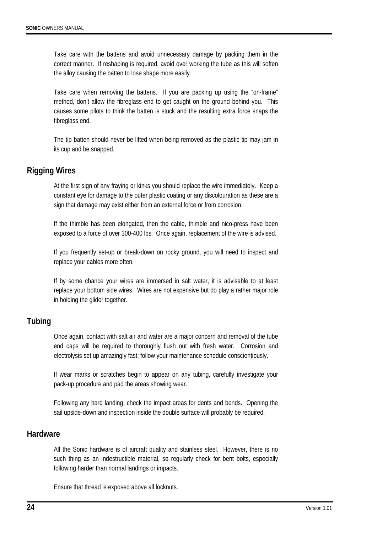Take care with the battens and avoid unnecessary damage by packing them in the correct manner. If reshaping is required, avoid over working the tube as this will soften the alloy causing the batten to lose shape more easily.

Take care when removing the battens. If you are packing up using the "on-frame" method, don't allow the fibreglass end to get caught on the ground behind you. This causes some pilots to think the batten is stuck and the resulting extra force snaps the fibreglass end.

The tip batten should never be lifted when being removed as the plastic tip may jam in its cup and be snapped.

### **Rigging Wires**

At the first sign of any fraying or kinks you should replace the wire immediately. Keep a constant eye for damage to the outer plastic coating or any discolouration as these are a sign that damage may exist either from an external force or from corrosion.

If the thimble has been elongated, then the cable, thimble and nico-press have been exposed to a force of over 300-400 lbs. Once again, replacement of the wire is advised.

If you frequently set-up or break-down on rocky ground, you will need to inspect and replace your cables more often.

If by some chance your wires are immersed in salt water, it is advisable to at least replace your bottom side wires. Wires are not expensive but do play a rather major role in holding the glider together.

### **Tubing**

Once again, contact with salt air and water are a major concern and removal of the tube end caps will be required to thoroughly flush out with fresh water. Corrosion and electrolysis set up amazingly fast; follow your maintenance schedule conscientiously.

If wear marks or scratches begin to appear on any tubing, carefully investigate your pack-up procedure and pad the areas showing wear.

Following any hard landing, check the impact areas for dents and bends. Opening the sail upside-down and inspection inside the double surface will probably be required.

#### **Hardware**

All the Sonic hardware is of aircraft quality and stainless steel. However, there is no such thing as an indestructible material, so regularly check for bent bolts, especially following harder than normal landings or impacts.

Ensure that thread is exposed above all locknuts.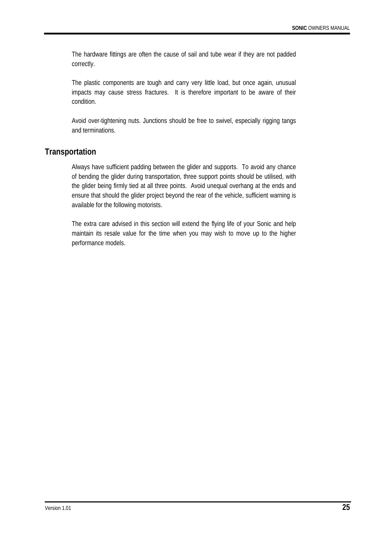The hardware fittings are often the cause of sail and tube wear if they are not padded correctly.

The plastic components are tough and carry very little load, but once again, unusual impacts may cause stress fractures. It is therefore important to be aware of their condition.

Avoid over-tightening nuts. Junctions should be free to swivel, especially rigging tangs and terminations.

### **Transportation**

Always have sufficient padding between the glider and supports. To avoid any chance of bending the glider during transportation, three support points should be utilised, with the glider being firmly tied at all three points. Avoid unequal overhang at the ends and ensure that should the glider project beyond the rear of the vehicle, sufficient warning is available for the following motorists.

The extra care advised in this section will extend the flying life of your Sonic and help maintain its resale value for the time when you may wish to move up to the higher performance models.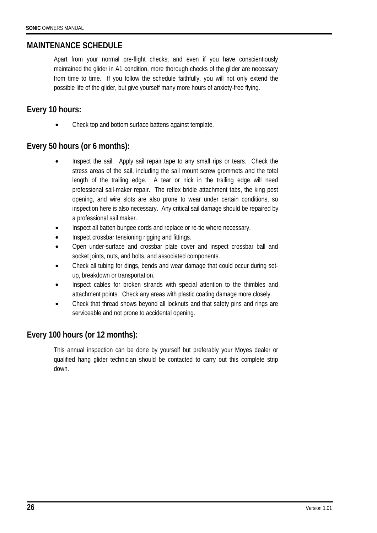### **MAINTENANCE SCHEDULE**

Apart from your normal pre-flight checks, and even if you have conscientiously maintained the glider in A1 condition, more thorough checks of the glider are necessary from time to time. If you follow the schedule faithfully, you will not only extend the possible life of the glider, but give yourself many more hours of anxiety-free flying.

## **Every 10 hours:**

• Check top and bottom surface battens against template.

# **Every 50 hours (or 6 months):**

- Inspect the sail. Apply sail repair tape to any small rips or tears. Check the stress areas of the sail, including the sail mount screw grommets and the total length of the trailing edge. A tear or nick in the trailing edge will need professional sail-maker repair. The reflex bridle attachment tabs, the king post opening, and wire slots are also prone to wear under certain conditions, so inspection here is also necessary. Any critical sail damage should be repaired by a professional sail maker.
- Inspect all batten bungee cords and replace or re-tie where necessary.
- Inspect crossbar tensioning rigging and fittings.
- Open under-surface and crossbar plate cover and inspect crossbar ball and socket joints, nuts, and bolts, and associated components.
- Check all tubing for dings, bends and wear damage that could occur during setup, breakdown or transportation.
- Inspect cables for broken strands with special attention to the thimbles and attachment points. Check any areas with plastic coating damage more closely.
- Check that thread shows beyond all locknuts and that safety pins and rings are serviceable and not prone to accidental opening.

## **Every 100 hours (or 12 months):**

This annual inspection can be done by yourself but preferably your Moyes dealer or qualified hang glider technician should be contacted to carry out this complete strip down.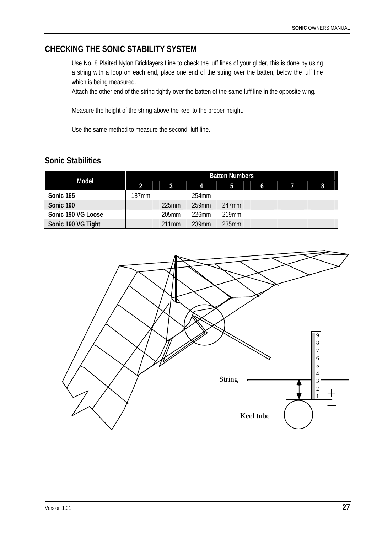# **CHECKING THE SONIC STABILITY SYSTEM**

Use No. 8 Plaited Nylon Bricklayers Line to check the luff lines of your glider, this is done by using a string with a loop on each end, place one end of the string over the batten, below the luff line which is being measured.

Attach the other end of the string tightly over the batten of the same luff line in the opposite wing.

Measure the height of the string above the keel to the proper height.

Use the same method to measure the second luff line.

# **Sonic Stabilities**

| <b>Model</b>       | <b>Batten Numbers</b> |          |                |       |   |  |  |   |
|--------------------|-----------------------|----------|----------------|-------|---|--|--|---|
|                    | $\overline{2}$        | 3        | $\overline{A}$ | 5     | 6 |  |  | 8 |
| Sonic 165          | 187mm                 |          | 254mm          |       |   |  |  |   |
| Sonic 190          |                       | $225$ mm | 259mm          | 247mm |   |  |  |   |
| Sonic 190 VG Loose |                       | $205$ mm | 226mm          | 219mm |   |  |  |   |
| Sonic 190 VG Tight |                       | 211mm    | 239mm          | 235mm |   |  |  |   |

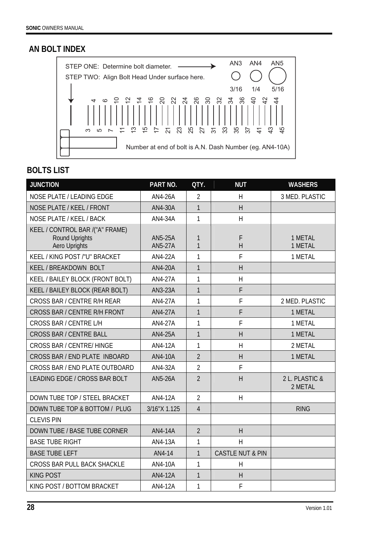# **AN BOLT INDEX**



# **BOLTS LIST**

| <b>JUNCTION</b>                                                                  | PART NO.                         | QTY.              | <b>NUT</b>                  | <b>WASHERS</b>            |
|----------------------------------------------------------------------------------|----------------------------------|-------------------|-----------------------------|---------------------------|
| <b>NOSE PLATE / LEADING EDGE</b>                                                 | <b>AN4-26A</b>                   | $\overline{2}$    | H                           | 3 MED. PLASTIC            |
| NOSE PLATE / KEEL / FRONT                                                        | AN4-30A                          | 1                 | H                           |                           |
| NOSE PLATE / KEEL / BACK                                                         | AN4-34A                          | 1                 | H                           |                           |
| KEEL / CONTROL BAR /("A" FRAME)<br><b>Round Uprights</b><br><b>Aero Uprights</b> | <b>AN5-25A</b><br><b>AN5-27A</b> | 1<br>$\mathbf{1}$ | F<br>H                      | 1 METAL<br>1 METAL        |
| KEEL / KING POST /"U" BRACKET                                                    | AN4-22A                          | 1                 | F                           | 1 METAL                   |
| KEEL / BREAKDOWN BOLT                                                            | AN4-20A                          | $\mathbf{1}$      | H                           |                           |
| KEEL / BAILEY BLOCK (FRONT BOLT)                                                 | <b>AN4-27A</b>                   | 1                 | H                           |                           |
| KEEL / BAILEY BLOCK (REAR BOLT)                                                  | AN3-23A                          | $\mathbf{1}$      | F                           |                           |
| CROSS BAR / CENTRE R/H REAR                                                      | AN4-27A                          | 1                 | F                           | 2 MED. PLASTIC            |
| CROSS BAR / CENTRE R/H FRONT                                                     | AN4-27A                          | 1                 | F                           | 1 METAL                   |
| CROSS BAR / CENTRE L/H                                                           | <b>AN4-27A</b>                   | 1                 | F                           | 1 METAL                   |
| <b>CROSS BAR / CENTRE BALL</b>                                                   | AN4-25A                          | $\mathbf{1}$      | H                           | 1 METAL                   |
| <b>CROSS BAR / CENTRE/ HINGE</b>                                                 | <b>AN4-12A</b>                   | 1                 | H                           | 2 METAL                   |
| CROSS BAR / END PLATE INBOARD                                                    | AN4-10A                          | $\overline{2}$    | $\overline{H}$              | 1 METAL                   |
| CROSS BAR / END PLATE OUTBOARD                                                   | AN4-32A                          | $\overline{2}$    | F                           |                           |
| LEADING EDGE / CROSS BAR BOLT                                                    | AN5-26A                          | $\overline{2}$    | H                           | 2 L. PLASTIC &<br>2 METAL |
| DOWN TUBE TOP / STEEL BRACKET                                                    | <b>AN4-12A</b>                   | $\overline{2}$    | H                           |                           |
| DOWN TUBE TOP & BOTTOM / PLUG                                                    | 3/16"X 1.125                     | $\overline{4}$    |                             | <b>RING</b>               |
| <b>CLEVIS PIN</b>                                                                |                                  |                   |                             |                           |
| DOWN TUBE / BASE TUBE CORNER                                                     | <b>AN4-14A</b>                   | $\overline{2}$    | H                           |                           |
| <b>BASE TUBE RIGHT</b>                                                           | AN4-13A                          | 1                 | $\overline{\mathsf{H}}$     |                           |
| <b>BASE TUBE LEFT</b>                                                            | AN4-14                           | 1                 | <b>CASTLE NUT &amp; PIN</b> |                           |
| CROSS BAR PULL BACK SHACKLE                                                      | AN4-10A                          | 1                 | H                           |                           |
| <b>KING POST</b>                                                                 | AN4-12A                          | $\mathbf{1}$      | H                           |                           |
| KING POST / BOTTOM BRACKET                                                       | AN4-12A                          | 1                 | F                           |                           |